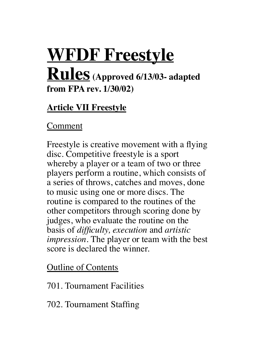# **WFDF Freestyle Rules (Approved 6/13/03- adapted from FPA rev. 1/30/02)**

## **Article VII Freestyle**

Comment

Freestyle is creative movement with a flying disc. Competitive freestyle is a sport whereby a player or a team of two or three players perform a routine, which consists of a series of throws, catches and moves, done to music using one or more discs. The routine is compared to the routines of the other competitors through scoring done by judges, who evaluate the routine on the basis of *difficulty, execution* and *artistic impression*. The player or team with the best score is declared the winner.

Outline of Contents

701. Tournament Facilities

702. Tournament Staffing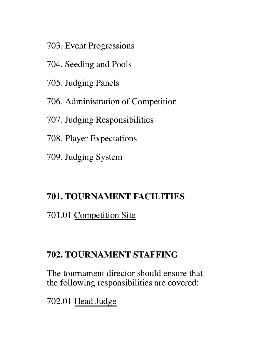- 703. Event Progressions
- 704. Seeding and Pools
- 705. Judging Panels
- 706. Administration of Competition
- 707. Judging Responsibilities
- 708. Player Expectations
- 709. Judging System

#### **701. TOURNAMENT FACILITIES**

701.01 Competition Site

## **702. TOURNAMENT STAFFING**

The tournament director should ensure that the following responsibilities are covered:

702.01 Head Judge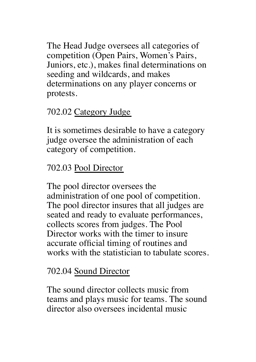The Head Judge oversees all categories of competition (Open Pairs, Women's Pairs, Juniors, etc.), makes final determinations on seeding and wildcards, and makes determinations on any player concerns or protests.

# 702.02 Category Judge

It is sometimes desirable to have a category judge oversee the administration of each category of competition.

# 702.03 Pool Director

The pool director oversees the administration of one pool of competition. The pool director insures that all judges are seated and ready to evaluate performances, collects scores from judges. The Pool Director works with the timer to insure accurate official timing of routines and works with the statistician to tabulate scores.

## 702.04 Sound Director

The sound director collects music from teams and plays music for teams. The sound director also oversees incidental music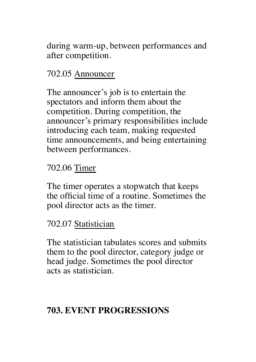during warm-up, between performances and after competition.

# 702.05 Announcer

The announcer's job is to entertain the spectators and inform them about the competition. During competition, the announcer's primary responsibilities include introducing each team, making requested time announcements, and being entertaining between performances.

## 702.06 Timer

The timer operates a stopwatch that keeps the official time of a routine. Sometimes the pool director acts as the timer.

#### 702.07 Statistician

The statistician tabulates scores and submits them to the pool director, category judge or head judge. Sometimes the pool director acts as statistician.

# **703. EVENT PROGRESSIONS**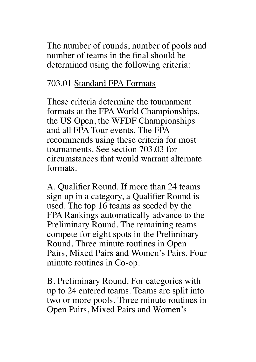The number of rounds, number of pools and number of teams in the final should be determined using the following criteria:

## 703.01 Standard FPA Formats

These criteria determine the tournament formats at the FPA World Championships, the US Open, the WFDF Championships and all FPA Tour events. The FPA recommends using these criteria for most tournaments. See section 703.03 for circumstances that would warrant alternate formats.

A. Qualifier Round. If more than 24 teams sign up in a category, a Qualifier Round is used. The top 16 teams as seeded by the FPA Rankings automatically advance to the Preliminary Round. The remaining teams compete for eight spots in the Preliminary Round. Three minute routines in Open Pairs, Mixed Pairs and Women's Pairs. Four minute routines in Co-op.

B. Preliminary Round. For categories with up to 24 entered teams. Teams are split into two or more pools. Three minute routines in Open Pairs, Mixed Pairs and Women's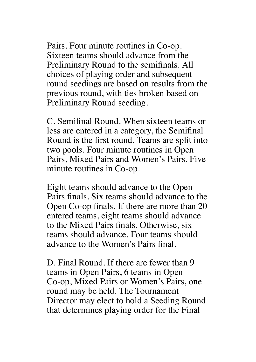Pairs. Four minute routines in Co-op. Sixteen teams should advance from the Preliminary Round to the semifinals. All choices of playing order and subsequent round seedings are based on results from the previous round, with ties broken based on Preliminary Round seeding.

C. Semifinal Round. When sixteen teams or less are entered in a category, the Semifinal Round is the first round. Teams are split into two pools. Four minute routines in Open Pairs, Mixed Pairs and Women's Pairs. Five minute routines in Co-op.

Eight teams should advance to the Open Pairs finals. Six teams should advance to the Open Co-op finals. If there are more than 20 entered teams, eight teams should advance to the Mixed Pairs finals. Otherwise, six teams should advance. Four teams should advance to the Women's Pairs final.

D. Final Round. If there are fewer than 9 teams in Open Pairs, 6 teams in Open Co-op, Mixed Pairs or Women's Pairs, one round may be held. The Tournament Director may elect to hold a Seeding Round that determines playing order for the Final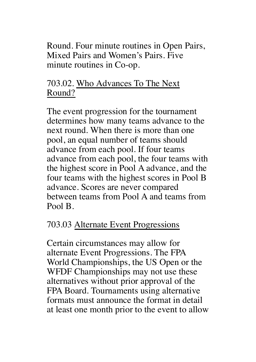Round. Four minute routines in Open Pairs, Mixed Pairs and Women's Pairs. Five minute routines in Co-op.

# 703.02. Who Advances To The Next Round?

The event progression for the tournament determines how many teams advance to the next round. When there is more than one pool, an equal number of teams should advance from each pool. If four teams advance from each pool, the four teams with the highest score in Pool A advance, and the four teams with the highest scores in Pool B advance. Scores are never compared between teams from Pool A and teams from Pool B.

## 703.03 Alternate Event Progressions

Certain circumstances may allow for alternate Event Progressions. The FPA World Championships, the US Open or the WFDF Championships may not use these alternatives without prior approval of the FPA Board. Tournaments using alternative formats must announce the format in detail at least one month prior to the event to allow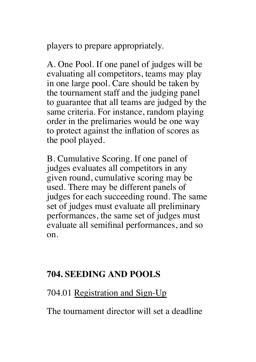players to prepare appropriately.

A. One Pool. If one panel of judges will be evaluating all competitors, teams may play in one large pool. Care should be taken by the tournament staff and the judging panel to guarantee that all teams are judged by the same criteria. For instance, random playing order in the prelimaries would be one way to protect against the inflation of scores as the pool played.

B. Cumulative Scoring. If one panel of judges evaluates all competitors in any given round, cumulative scoring may be used. There may be different panels of judges for each succeeding round. The same set of judges must evaluate all preliminary performances, the same set of judges must evaluate all semifinal performances, and so on.

## **704. SEEDING AND POOLS**

#### 704.01 Registration and Sign-Up

The tournament director will set a deadline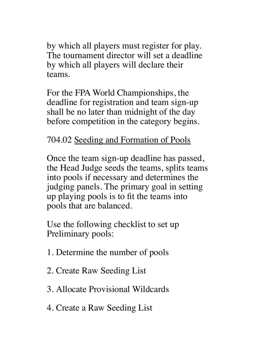by which all players must register for play. The tournament director will set a deadline by which all players will declare their teams.

For the FPA World Championships, the deadline for registration and team sign-up shall be no later than midnight of the day before competition in the category begins.

# 704.02 Seeding and Formation of Pools

Once the team sign-up deadline has passed, the Head Judge seeds the teams, splits teams into pools if necessary and determines the judging panels. The primary goal in setting up playing pools is to fit the teams into pools that are balanced.

Use the following checklist to set up Preliminary pools:

- 1. Determine the number of pools
- 2. Create Raw Seeding List
- 3. Allocate Provisional Wildcards
- 4. Create a Raw Seeding List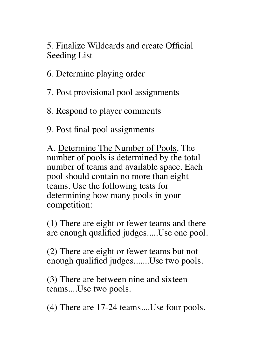5. Finalize Wildcards and create Official Seeding List

6. Determine playing order

7. Post provisional pool assignments

8. Respond to player comments

9. Post final pool assignments

A. Determine The Number of Pools. The number of pools is determined by the total number of teams and available space. Each pool should contain no more than eight teams. Use the following tests for determining how many pools in your competition:

(1) There are eight or fewer teams and there are enough qualified judges.....Use one pool.

(2) There are eight or fewer teams but not enough qualified judges.......Use two pools.

(3) There are between nine and sixteen teams....Use two pools.

(4) There are 17-24 teams....Use four pools.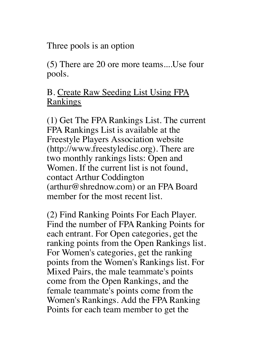Three pools is an option

(5) There are 20 ore more teams....Use four pools.

#### B. Create Raw Seeding List Using FPA Rankings

(1) Get The FPA Rankings List. The current FPA Rankings List is available at the Freestyle Players Association website (http://www.freestyledisc.org). There are two monthly rankings lists: Open and Women. If the current list is not found, contact Arthur Coddington (arthur@shrednow.com) or an FPA Board member for the most recent list.

(2) Find Ranking Points For Each Player. Find the number of FPA Ranking Points for each entrant. For Open categories, get the ranking points from the Open Rankings list. For Women's categories, get the ranking points from the Women's Rankings list. For Mixed Pairs, the male teammate's points come from the Open Rankings, and the female teammate's points come from the Women's Rankings. Add the FPA Ranking Points for each team member to get the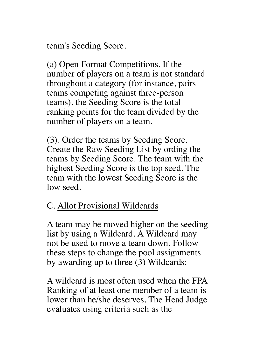team's Seeding Score.

(a) Open Format Competitions. If the number of players on a team is not standard throughout a category (for instance, pairs teams competing against three-person teams), the Seeding Score is the total ranking points for the team divided by the number of players on a team.

(3). Order the teams by Seeding Score. Create the Raw Seeding List by ording the teams by Seeding Score. The team with the highest Seeding Score is the top seed. The team with the lowest Seeding Score is the low seed.

#### C. Allot Provisional Wildcards

A team may be moved higher on the seeding list by using a Wildcard. A Wildcard may not be used to move a team down. Follow these steps to change the pool assignments by awarding up to three (3) Wildcards:

A wildcard is most often used when the FPA Ranking of at least one member of a team is lower than he/she deserves. The Head Judge evaluates using criteria such as the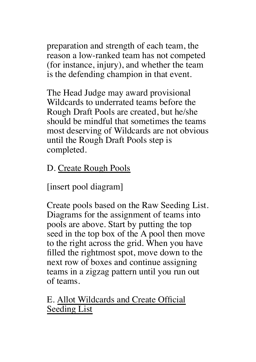preparation and strength of each team, the reason a low-ranked team has not competed (for instance, injury), and whether the team is the defending champion in that event.

The Head Judge may award provisional Wildcards to underrated teams before the Rough Draft Pools are created, but he/she should be mindful that sometimes the teams most deserving of Wildcards are not obvious until the Rough Draft Pools step is completed.

# D. Create Rough Pools

[insert pool diagram]

Create pools based on the Raw Seeding List. Diagrams for the assignment of teams into pools are above. Start by putting the top seed in the top box of the A pool then move to the right across the grid. When you have filled the rightmost spot, move down to the next row of boxes and continue assigning teams in a zigzag pattern until you run out of teams.

E. Allot Wildcards and Create Official Seeding List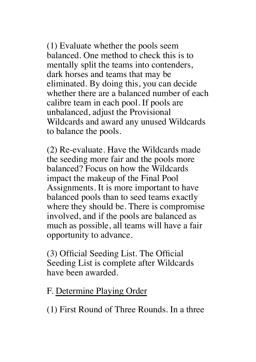(1) Evaluate whether the pools seem balanced. One method to check this is to mentally split the teams into contenders, dark horses and teams that may be eliminated. By doing this, you can decide whether there are a balanced number of each calibre team in each pool. If pools are unbalanced, adjust the Provisional Wildcards and award any unused Wildcards to balance the pools.

(2) Re-evaluate. Have the Wildcards made the seeding more fair and the pools more balanced? Focus on how the Wildcards impact the makeup of the Final Pool Assignments. It is more important to have balanced pools than to seed teams exactly where they should be. There is compromise involved, and if the pools are balanced as much as possible, all teams will have a fair opportunity to advance.

(3) Official Seeding List. The Official Seeding List is complete after Wildcards have been awarded.

#### F. Determine Playing Order

(1) First Round of Three Rounds. In a three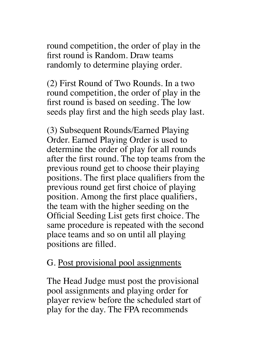round competition, the order of play in the first round is Random. Draw teams randomly to determine playing order.

(2) First Round of Two Rounds. In a two round competition, the order of play in the first round is based on seeding. The low seeds play first and the high seeds play last.

(3) Subsequent Rounds/Earned Playing Order. Earned Playing Order is used to determine the order of play for all rounds after the first round. The top teams from the previous round get to choose their playing positions. The first place qualifiers from the previous round get first choice of playing position. Among the first place qualifiers, the team with the higher seeding on the Official Seeding List gets first choice. The same procedure is repeated with the second place teams and so on until all playing positions are filled.

#### G. Post provisional pool assignments

The Head Judge must post the provisional pool assignments and playing order for player review before the scheduled start of play for the day. The FPA recommends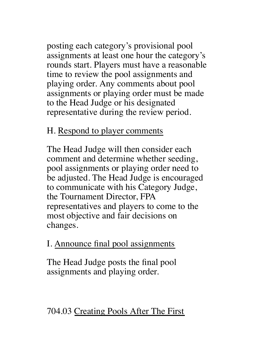posting each category's provisional pool assignments at least one hour the category's rounds start. Players must have a reasonable time to review the pool assignments and playing order. Any comments about pool assignments or playing order must be made to the Head Judge or his designated representative during the review period.

#### H. Respond to player comments

The Head Judge will then consider each comment and determine whether seeding, pool assignments or playing order need to be adjusted. The Head Judge is encouraged to communicate with his Category Judge, the Tournament Director, FPA representatives and players to come to the most objective and fair decisions on changes.

# I. Announce final pool assignments

The Head Judge posts the final pool assignments and playing order.

# 704.03 Creating Pools After The First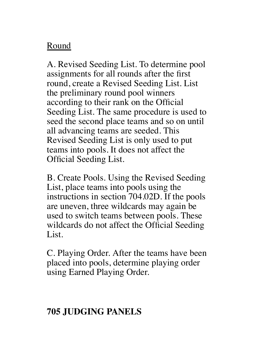## Round

A. Revised Seeding List. To determine pool assignments for all rounds after the first round, create a Revised Seeding List. List the preliminary round pool winners according to their rank on the Official Seeding List. The same procedure is used to seed the second place teams and so on until all advancing teams are seeded. This Revised Seeding List is only used to put teams into pools. It does not affect the Official Seeding List.

B. Create Pools. Using the Revised Seeding List, place teams into pools using the instructions in section 704.02D. If the pools are uneven, three wildcards may again be used to switch teams between pools. These wildcards do not affect the Official Seeding List.

C. Playing Order. After the teams have been placed into pools, determine playing order using Earned Playing Order.

## **705 JUDGING PANELS**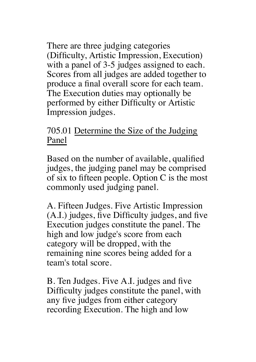There are three judging categories (Difficulty, Artistic Impression, Execution) with a panel of 3-5 judges assigned to each. Scores from all judges are added together to produce a final overall score for each team. The Execution duties may optionally be performed by either Difficulty or Artistic Impression judges.

#### 705.01 Determine the Size of the Judging Panel

Based on the number of available, qualified judges, the judging panel may be comprised of six to fifteen people. Option C is the most commonly used judging panel.

A. Fifteen Judges. Five Artistic Impression (A.I.) judges, five Difficulty judges, and five Execution judges constitute the panel. The high and low judge's score from each category will be dropped, with the remaining nine scores being added for a team's total score.

B. Ten Judges. Five A.I. judges and five Difficulty judges constitute the panel, with any five judges from either category recording Execution. The high and low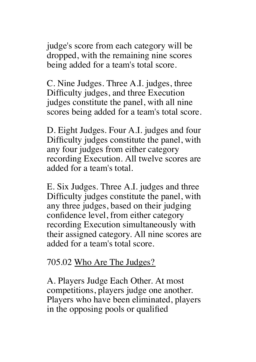judge's score from each category will be dropped, with the remaining nine scores being added for a team's total score.

C. Nine Judges. Three A.I. judges, three Difficulty judges, and three Execution judges constitute the panel, with all nine scores being added for a team's total score.

D. Eight Judges. Four A.I. judges and four Difficulty judges constitute the panel, with any four judges from either category recording Execution. All twelve scores are added for a team's total.

E. Six Judges. Three A.I. judges and three Difficulty judges constitute the panel, with any three judges, based on their judging confidence level, from either category recording Execution simultaneously with their assigned category. All nine scores are added for a team's total score.

#### 705.02 Who Are The Judges?

A. Players Judge Each Other. At most competitions, players judge one another. Players who have been eliminated, players in the opposing pools or qualified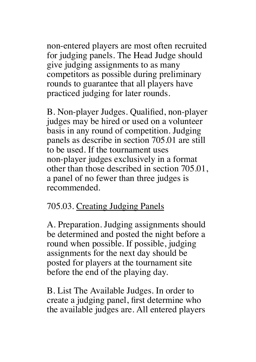non-entered players are most often recruited for judging panels. The Head Judge should give judging assignments to as many competitors as possible during preliminary rounds to guarantee that all players have practiced judging for later rounds.

B. Non-player Judges. Qualified, non-player judges may be hired or used on a volunteer basis in any round of competition. Judging panels as describe in section 705.01 are still to be used. If the tournament uses non-player judges exclusively in a format other than those described in section 705.01, a panel of no fewer than three judges is recommended.

#### 705.03. Creating Judging Panels

A. Preparation. Judging assignments should be determined and posted the night before a round when possible. If possible, judging assignments for the next day should be posted for players at the tournament site before the end of the playing day.

B. List The Available Judges. In order to create a judging panel, first determine who the available judges are. All entered players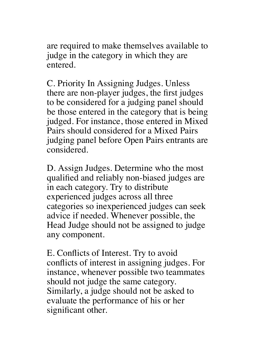are required to make themselves available to judge in the category in which they are entered.

C. Priority In Assigning Judges. Unless there are non-player judges, the first judges to be considered for a judging panel should be those entered in the category that is being judged. For instance, those entered in Mixed Pairs should considered for a Mixed Pairs judging panel before Open Pairs entrants are considered.

D. Assign Judges. Determine who the most qualified and reliably non-biased judges are in each category. Try to distribute experienced judges across all three categories so inexperienced judges can seek advice if needed. Whenever possible, the Head Judge should not be assigned to judge any component.

E. Conflicts of Interest. Try to avoid conflicts of interest in assigning judges. For instance, whenever possible two teammates should not judge the same category. Similarly, a judge should not be asked to evaluate the performance of his or her significant other.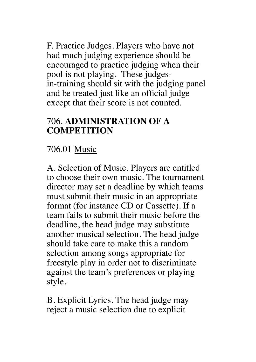F. Practice Judges. Players who have not had much judging experience should be encouraged to practice judging when their pool is not playing. These judgesin-training should sit with the judging panel and be treated just like an official judge except that their score is not counted.

#### 706. **ADMINISTRATION OF A COMPETITION**

# 706.01 Music

A. Selection of Music. Players are entitled to choose their own music. The tournament director may set a deadline by which teams must submit their music in an appropriate format (for instance CD or Cassette). If a team fails to submit their music before the deadline, the head judge may substitute another musical selection. The head judge should take care to make this a random selection among songs appropriate for freestyle play in order not to discriminate against the team's preferences or playing style.

B. Explicit Lyrics. The head judge may reject a music selection due to explicit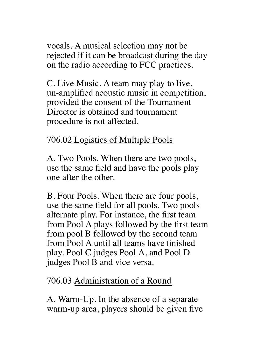vocals. A musical selection may not be rejected if it can be broadcast during the day on the radio according to FCC practices.

C. Live Music. A team may play to live, un-amplified acoustic music in competition, provided the consent of the Tournament Director is obtained and tournament procedure is not affected.

## 706.02 Logistics of Multiple Pools

A. Two Pools. When there are two pools, use the same field and have the pools play one after the other.

B. Four Pools. When there are four pools, use the same field for all pools. Two pools alternate play. For instance, the first team from Pool A plays followed by the first team from pool B followed by the second team from Pool A until all teams have finished play. Pool C judges Pool A, and Pool D judges Pool B and vice versa.

#### 706.03 Administration of a Round

A. Warm-Up. In the absence of a separate warm-up area, players should be given five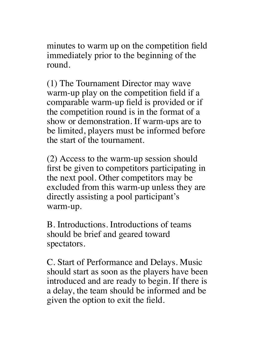minutes to warm up on the competition field immediately prior to the beginning of the round.

(1) The Tournament Director may wave warm-up play on the competition field if a comparable warm-up field is provided or if the competition round is in the format of a show or demonstration. If warm-ups are to be limited, players must be informed before the start of the tournament.

(2) Access to the warm-up session should first be given to competitors participating in the next pool. Other competitors may be excluded from this warm-up unless they are directly assisting a pool participant's warm-up.

B. Introductions. Introductions of teams should be brief and geared toward spectators.

C. Start of Performance and Delays. Music should start as soon as the players have been introduced and are ready to begin. If there is a delay, the team should be informed and be given the option to exit the field.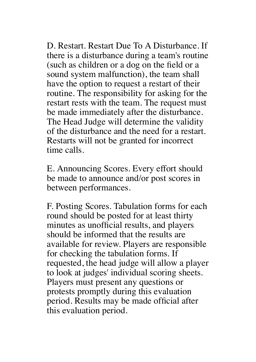D. Restart. Restart Due To A Disturbance. If there is a disturbance during a team's routine (such as children or a dog on the field or a sound system malfunction), the team shall have the option to request a restart of their routine. The responsibility for asking for the restart rests with the team. The request must be made immediately after the disturbance. The Head Judge will determine the validity of the disturbance and the need for a restart. Restarts will not be granted for incorrect time calls.

E. Announcing Scores. Every effort should be made to announce and/or post scores in between performances.

F. Posting Scores. Tabulation forms for each round should be posted for at least thirty minutes as unofficial results, and players should be informed that the results are available for review. Players are responsible for checking the tabulation forms. If requested, the head judge will allow a player to look at judges' individual scoring sheets. Players must present any questions or protests promptly during this evaluation period. Results may be made official after this evaluation period.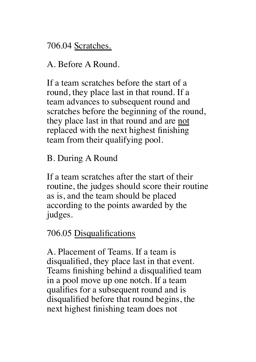706.04 Scratches.

A. Before A Round.

If a team scratches before the start of a round, they place last in that round. If a team advances to subsequent round and scratches before the beginning of the round, they place last in that round and are not replaced with the next highest finishing team from their qualifying pool.

B. During A Round

If a team scratches after the start of their routine, the judges should score their routine as is, and the team should be placed according to the points awarded by the judges.

#### 706.05 Disqualifications

A. Placement of Teams. If a team is disqualified, they place last in that event. Teams finishing behind a disqualified team in a pool move up one notch. If a team qualifies for a subsequent round and is disqualified before that round begins, the next highest finishing team does not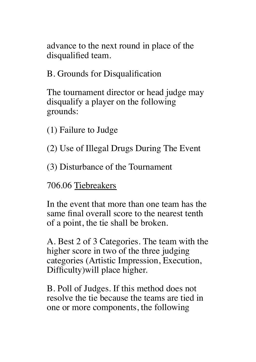advance to the next round in place of the disqualified team.

B. Grounds for Disqualification

The tournament director or head judge may disqualify a player on the following grounds:

(1) Failure to Judge

- (2) Use of Illegal Drugs During The Event
- (3) Disturbance of the Tournament

706.06 Tiebreakers

In the event that more than one team has the same final overall score to the nearest tenth of a point, the tie shall be broken.

A. Best 2 of 3 Categories. The team with the higher score in two of the three judging categories (Artistic Impression, Execution, Difficulty)will place higher.

B. Poll of Judges. If this method does not resolve the tie because the teams are tied in one or more components, the following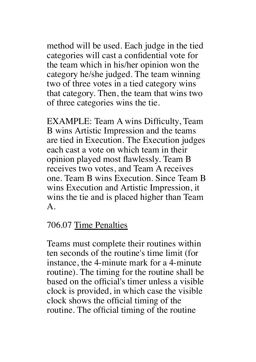method will be used. Each judge in the tied categories will cast a confidential vote for the team which in his/her opinion won the category he/she judged. The team winning two of three votes in a tied category wins that category. Then, the team that wins two of three categories wins the tie.

EXAMPLE: Team A wins Difficulty, Team B wins Artistic Impression and the teams are tied in Execution. The Execution judges each cast a vote on which team in their opinion played most flawlessly. Team B receives two votes, and Team A receives one. Team B wins Execution. Since Team B wins Execution and Artistic Impression, it wins the tie and is placed higher than Team A.

#### 706.07 Time Penalties

Teams must complete their routines within ten seconds of the routine's time limit (for instance, the 4-minute mark for a 4-minute routine). The timing for the routine shall be based on the official's timer unless a visible clock is provided, in which case the visible clock shows the official timing of the routine. The official timing of the routine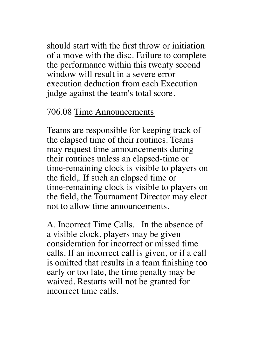should start with the first throw or initiation of a move with the disc. Failure to complete the performance within this twenty second window will result in a severe error execution deduction from each Execution judge against the team's total score.

#### 706.08 Time Announcements

Teams are responsible for keeping track of the elapsed time of their routines. Teams may request time announcements during their routines unless an elapsed-time or time-remaining clock is visible to players on the field,. If such an elapsed time or time-remaining clock is visible to players on the field, the Tournament Director may elect not to allow time announcements.

A. Incorrect Time Calls. In the absence of a visible clock, players may be given consideration for incorrect or missed time calls. If an incorrect call is given, or if a call is omitted that results in a team finishing too early or too late, the time penalty may be waived. Restarts will not be granted for incorrect time calls.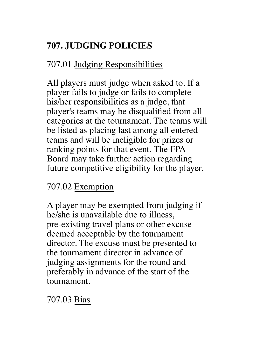# **707. JUDGING POLICIES**

# 707.01 Judging Responsibilities

All players must judge when asked to. If a player fails to judge or fails to complete his/her responsibilities as a judge, that player's teams may be disqualified from all categories at the tournament. The teams will be listed as placing last among all entered teams and will be ineligible for prizes or ranking points for that event. The FPA Board may take further action regarding future competitive eligibility for the player.

# 707.02 Exemption

A player may be exempted from judging if he/she is unavailable due to illness, pre-existing travel plans or other excuse deemed acceptable by the tournament director. The excuse must be presented to the tournament director in advance of judging assignments for the round and preferably in advance of the start of the tournament.

# 707.03 Bias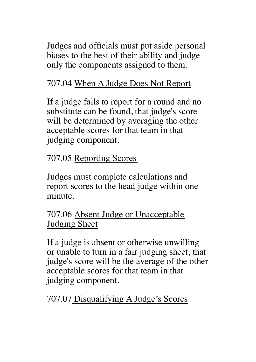Judges and officials must put aside personal biases to the best of their ability and judge only the components assigned to them.

# 707.04 When A Judge Does Not Report

If a judge fails to report for a round and no substitute can be found, that judge's score will be determined by averaging the other acceptable scores for that team in that judging component.

707.05 Reporting Scores

Judges must complete calculations and report scores to the head judge within one minute.

# 707.06 Absent Judge or Unacceptable Judging Sheet

If a judge is absent or otherwise unwilling or unable to turn in a fair judging sheet, that judge's score will be the average of the other acceptable scores for that team in that judging component.

707.07 Disqualifying A Judge's Scores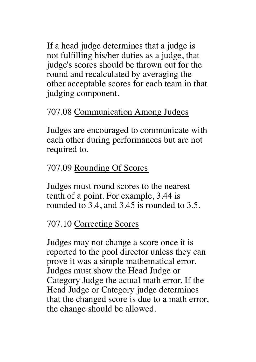If a head judge determines that a judge is not fulfilling his/her duties as a judge, that judge's scores should be thrown out for the round and recalculated by averaging the other acceptable scores for each team in that judging component.

# 707.08 Communication Among Judges

Judges are encouraged to communicate with each other during performances but are not required to.

# 707.09 Rounding Of Scores

Judges must round scores to the nearest tenth of a point. For example, 3.44 is rounded to 3.4, and 3.45 is rounded to 3.5.

## 707.10 Correcting Scores

Judges may not change a score once it is reported to the pool director unless they can prove it was a simple mathematical error. Judges must show the Head Judge or Category Judge the actual math error. If the Head Judge or Category judge determines that the changed score is due to a math error, the change should be allowed.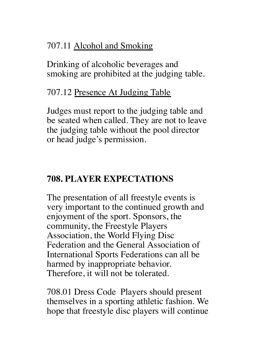## 707.11 Alcohol and Smoking

Drinking of alcoholic beverages and smoking are prohibited at the judging table.

#### 707.12 Presence At Judging Table

Judges must report to the judging table and be seated when called. They are not to leave the judging table without the pool director or head judge's permission.

# **708. PLAYER EXPECTATIONS**

The presentation of all freestyle events is very important to the continued growth and enjoyment of the sport. Sponsors, the community, the Freestyle Players Association, the World Flying Disc Federation and the General Association of International Sports Federations can all be harmed by inappropriate behavior. Therefore, it will not be tolerated.

708.01 Dress Code Players should present themselves in a sporting athletic fashion. We hope that freestyle disc players will continue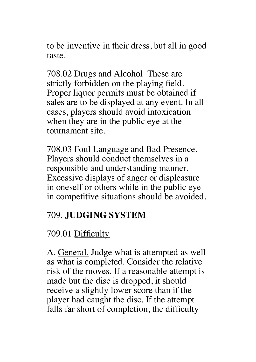to be inventive in their dress, but all in good taste.

708.02 Drugs and Alcohol These are strictly forbidden on the playing field. Proper liquor permits must be obtained if sales are to be displayed at any event. In all cases, players should avoid intoxication when they are in the public eye at the tournament site.

708.03 Foul Language and Bad Presence. Players should conduct themselves in a responsible and understanding manner. Excessive displays of anger or displeasure in oneself or others while in the public eye in competitive situations should be avoided.

## 709. **JUDGING SYSTEM**

# 709.01 Difficulty

A. General. Judge what is attempted as well as what is completed. Consider the relative risk of the moves. If a reasonable attempt is made but the disc is dropped, it should receive a slightly lower score than if the player had caught the disc. If the attempt falls far short of completion, the difficulty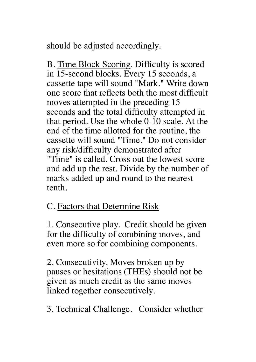should be adjusted accordingly.

B. Time Block Scoring. Difficulty is scored in 15-second blocks. Every 15 seconds, a cassette tape will sound "Mark." Write down one score that reflects both the most difficult moves attempted in the preceding 15 seconds and the total difficulty attempted in that period. Use the whole 0-10 scale. At the end of the time allotted for the routine, the cassette will sound "Time." Do not consider any risk/difficulty demonstrated after "Time" is called. Cross out the lowest score and add up the rest. Divide by the number of marks added up and round to the nearest tenth.

## C. Factors that Determine Risk

1. Consecutive play. Credit should be given for the difficulty of combining moves, and even more so for combining components.

2. Consecutivity. Moves broken up by pauses or hesitations (THEs) should not be given as much credit as the same moves linked together consecutively.

3. Technical Challenge. Consider whether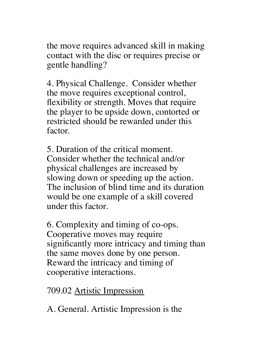the move requires advanced skill in making contact with the disc or requires precise or gentle handling?

4. Physical Challenge. Consider whether the move requires exceptional control, flexibility or strength. Moves that require the player to be upside down, contorted or restricted should be rewarded under this factor.

5. Duration of the critical moment. Consider whether the technical and/or physical challenges are increased by slowing down or speeding up the action. The inclusion of blind time and its duration would be one example of a skill covered under this factor.

6. Complexity and timing of co-ops. Cooperative moves may require significantly more intricacy and timing than the same moves done by one person. Reward the intricacy and timing of cooperative interactions.

709.02 Artistic Impression

A. General. Artistic Impression is the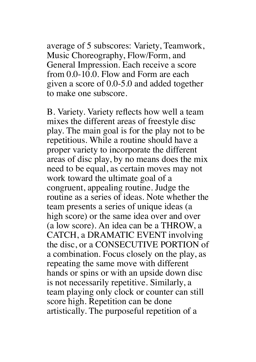average of 5 subscores: Variety, Teamwork, Music Choreography, Flow/Form, and General Impression. Each receive a score from 0.0-10.0. Flow and Form are each given a score of 0.0-5.0 and added together to make one subscore.

B. Variety. Variety reflects how well a team mixes the different areas of freestyle disc play. The main goal is for the play not to be repetitious. While a routine should have a proper variety to incorporate the different areas of disc play, by no means does the mix need to be equal, as certain moves may not work toward the ultimate goal of a congruent, appealing routine. Judge the routine as a series of ideas. Note whether the team presents a series of unique ideas (a high score) or the same idea over and over (a low score). An idea can be a THROW, a CATCH, a DRAMATIC EVENT involving the disc, or a CONSECUTIVE PORTION of a combination. Focus closely on the play, as repeating the same move with different hands or spins or with an upside down disc is not necessarily repetitive. Similarly, a team playing only clock or counter can still score high. Repetition can be done artistically. The purposeful repetition of a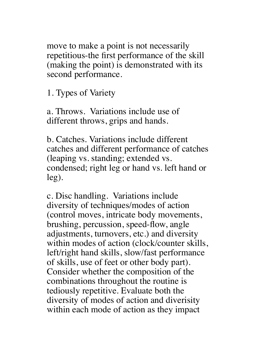move to make a point is not necessarily repetitious-the first performance of the skill (making the point) is demonstrated with its second performance.

1. Types of Variety

a. Throws. Variations include use of different throws, grips and hands.

b. Catches. Variations include different catches and different performance of catches (leaping vs. standing; extended vs. condensed; right leg or hand vs. left hand or leg).

c. Disc handling. Variations include diversity of techniques/modes of action (control moves, intricate body movements, brushing, percussion, speed-flow, angle adjustments, turnovers, etc.) and diversity within modes of action (clock/counter skills, left/right hand skills, slow/fast performance of skills, use of feet or other body part). Consider whether the composition of the combinations throughout the routine is tediously repetitive. Evaluate both the diversity of modes of action and diverisity within each mode of action as they impact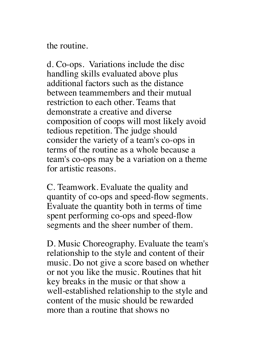the routine.

d. Co-ops. Variations include the disc handling skills evaluated above plus additional factors such as the distance between teammembers and their mutual restriction to each other. Teams that demonstrate a creative and diverse composition of coops will most likely avoid tedious repetition. The judge should consider the variety of a team's co-ops in terms of the routine as a whole because a team's co-ops may be a variation on a theme for artistic reasons.

C. Teamwork. Evaluate the quality and quantity of co-ops and speed-flow segments. Evaluate the quantity both in terms of time spent performing co-ops and speed-flow segments and the sheer number of them.

D. Music Choreography. Evaluate the team's relationship to the style and content of their music. Do not give a score based on whether or not you like the music. Routines that hit key breaks in the music or that show a well-established relationship to the style and content of the music should be rewarded more than a routine that shows no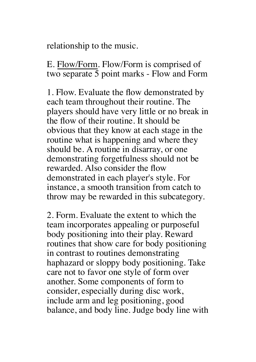relationship to the music.

E. Flow/Form. Flow/Form is comprised of two separate 5 point marks - Flow and Form

1. Flow. Evaluate the flow demonstrated by each team throughout their routine. The players should have very little or no break in the flow of their routine. It should be obvious that they know at each stage in the routine what is happening and where they should be. A routine in disarray, or one demonstrating forgetfulness should not be rewarded. Also consider the flow demonstrated in each player's style. For instance, a smooth transition from catch to throw may be rewarded in this subcategory.

2. Form. Evaluate the extent to which the team incorporates appealing or purposeful body positioning into their play. Reward routines that show care for body positioning in contrast to routines demonstrating haphazard or sloppy body positioning. Take care not to favor one style of form over another. Some components of form to consider, especially during disc work, include arm and leg positioning, good balance, and body line. Judge body line with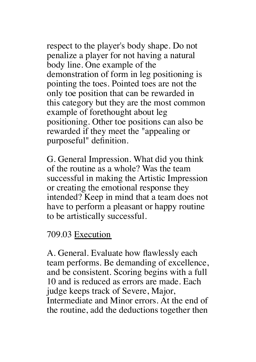respect to the player's body shape. Do not penalize a player for not having a natural body line. One example of the demonstration of form in leg positioning is pointing the toes. Pointed toes are not the only toe position that can be rewarded in this category but they are the most common example of forethought about leg positioning. Other toe positions can also be rewarded if they meet the "appealing or purposeful" definition.

G. General Impression. What did you think of the routine as a whole? Was the team successful in making the Artistic Impression or creating the emotional response they intended? Keep in mind that a team does not have to perform a pleasant or happy routine to be artistically successful.

#### 709.03 Execution

A. General. Evaluate how flawlessly each team performs. Be demanding of excellence, and be consistent. Scoring begins with a full 10 and is reduced as errors are made. Each judge keeps track of Severe, Major, Intermediate and Minor errors. At the end of the routine, add the deductions together then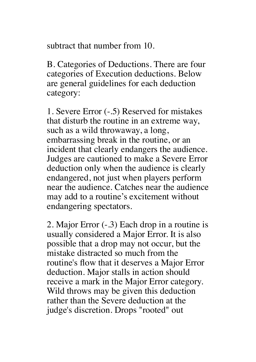subtract that number from 10.

B. Categories of Deductions. There are four categories of Execution deductions. Below are general guidelines for each deduction category:

1. Severe Error (-.5) Reserved for mistakes that disturb the routine in an extreme way, such as a wild throwaway, a long, embarrassing break in the routine, or an incident that clearly endangers the audience. Judges are cautioned to make a Severe Error deduction only when the audience is clearly endangered, not just when players perform near the audience. Catches near the audience may add to a routine's excitement without endangering spectators.

2. Major Error (-.3) Each drop in a routine is usually considered a Major Error. It is also possible that a drop may not occur, but the mistake distracted so much from the routine's flow that it deserves a Major Error deduction. Major stalls in action should receive a mark in the Major Error category. Wild throws may be given this deduction rather than the Severe deduction at the judge's discretion. Drops "rooted" out